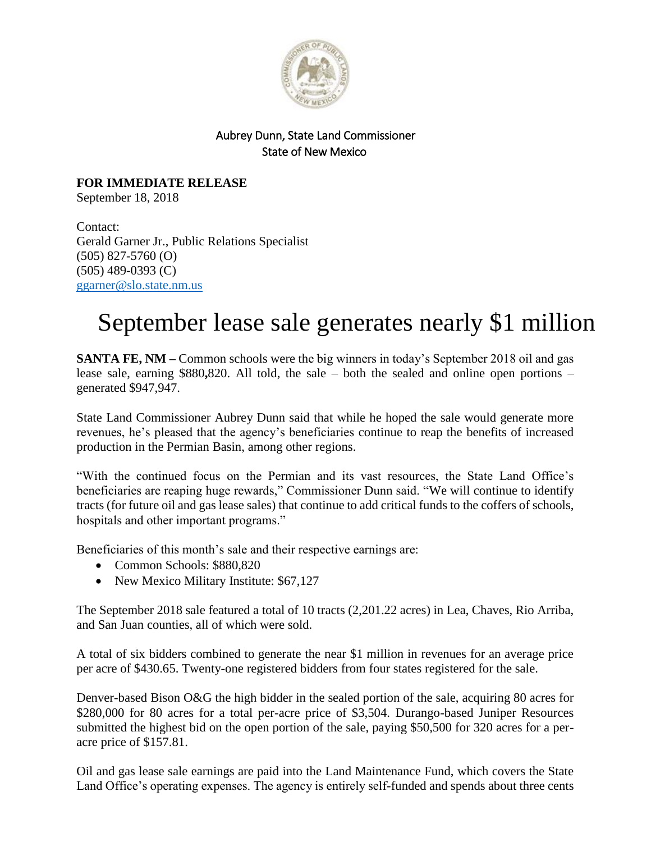

## Aubrey Dunn, State Land Commissioner State of New Mexico

**FOR IMMEDIATE RELEASE** September 18, 2018

Contact: Gerald Garner Jr., Public Relations Specialist (505) 827-5760 (O) (505) 489-0393 (C) [ggarner@slo.state.nm.us](mailto:ggarner@slo.state.nm.us)

## September lease sale generates nearly \$1 million

**SANTA FE, NM –** Common schools were the big winners in today's September 2018 oil and gas lease sale, earning \$880**,**820. All told, the sale – both the sealed and online open portions – generated \$947,947.

State Land Commissioner Aubrey Dunn said that while he hoped the sale would generate more revenues, he's pleased that the agency's beneficiaries continue to reap the benefits of increased production in the Permian Basin, among other regions.

"With the continued focus on the Permian and its vast resources, the State Land Office's beneficiaries are reaping huge rewards," Commissioner Dunn said. "We will continue to identify tracts (for future oil and gas lease sales) that continue to add critical funds to the coffers of schools, hospitals and other important programs."

Beneficiaries of this month's sale and their respective earnings are:

- Common Schools: \$880,820
- New Mexico Military Institute: \$67,127

The September 2018 sale featured a total of 10 tracts (2,201.22 acres) in Lea, Chaves, Rio Arriba, and San Juan counties, all of which were sold.

A total of six bidders combined to generate the near \$1 million in revenues for an average price per acre of \$430.65. Twenty-one registered bidders from four states registered for the sale.

Denver-based Bison O&G the high bidder in the sealed portion of the sale, acquiring 80 acres for \$280,000 for 80 acres for a total per-acre price of \$3,504. Durango-based Juniper Resources submitted the highest bid on the open portion of the sale, paying \$50,500 for 320 acres for a peracre price of \$157.81.

Oil and gas lease sale earnings are paid into the Land Maintenance Fund, which covers the State Land Office's operating expenses. The agency is entirely self-funded and spends about three cents